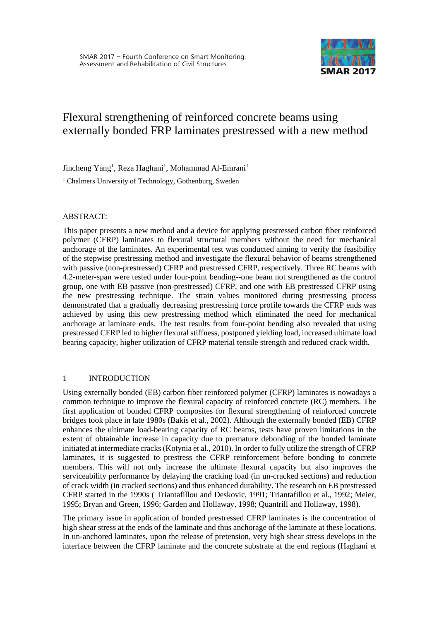

# Flexural strengthening of reinforced concrete beams using externally bonded FRP laminates prestressed with a new method

Jincheng Yang<sup>1</sup>, Reza Haghani<sup>1</sup>, Mohammad Al-Emrani<sup>1</sup>

<sup>1</sup> Chalmers University of Technology, Gothenburg, Sweden

#### ABSTRACT:

This paper presents a new method and a device for applying prestressed carbon fiber reinforced polymer (CFRP) laminates to flexural structural members without the need for mechanical anchorage of the laminates. An experimental test was conducted aiming to verify the feasibility of the stepwise prestressing method and investigate the flexural behavior of beams strengthened with passive (non-prestressed) CFRP and prestressed CFRP, respectively. Three RC beams with 4.2-meter-span were tested under four-point bending--one beam not strengthened as the control group, one with EB passive (non-prestressed) CFRP, and one with EB prestressed CFRP using the new prestressing technique. The strain values monitored during prestressing process demonstrated that a gradually decreasing prestressing force profile towards the CFRP ends was achieved by using this new prestressing method which eliminated the need for mechanical anchorage at laminate ends. The test results from four-point bending also revealed that using prestressed CFRP led to higher flexural stiffness, postponed yielding load, increased ultimate load bearing capacity, higher utilization of CFRP material tensile strength and reduced crack width.

## 1 INTRODUCTION

Using externally bonded (EB) carbon fiber reinforced polymer (CFRP) laminates is nowadays a common technique to improve the flexural capacity of reinforced concrete (RC) members. The first application of bonded CFRP composites for flexural strengthening of reinforced concrete bridges took place in late 1980s (Bakis et al., 2002). Although the externally bonded (EB) CFRP enhances the ultimate load-bearing capacity of RC beams, tests have proven limitations in the extent of obtainable increase in capacity due to premature debonding of the bonded laminate initiated at intermediate cracks (Kotynia et al., 2010). In order to fully utilize the strength of CFRP laminates, it is suggested to prestress the CFRP reinforcement before bonding to concrete members. This will not only increase the ultimate flexural capacity but also improves the serviceability performance by delaying the cracking load (in un-cracked sections) and reduction of crack width (in cracked sections) and thus enhanced durability. The research on EB prestressed CFRP started in the 1990s ( Triantafillou and Deskovic, 1991; Triantafillou et al., 1992; Meier, 1995; Bryan and Green, 1996; Garden and Hollaway, 1998; Quantrill and Hollaway, 1998).

The primary issue in application of bonded prestressed CFRP laminates is the concentration of high shear stress at the ends of the laminate and thus anchorage of the laminate at these locations. In un-anchored laminates, upon the release of pretension, very high shear stress develops in the interface between the CFRP laminate and the concrete substrate at the end regions (Haghani et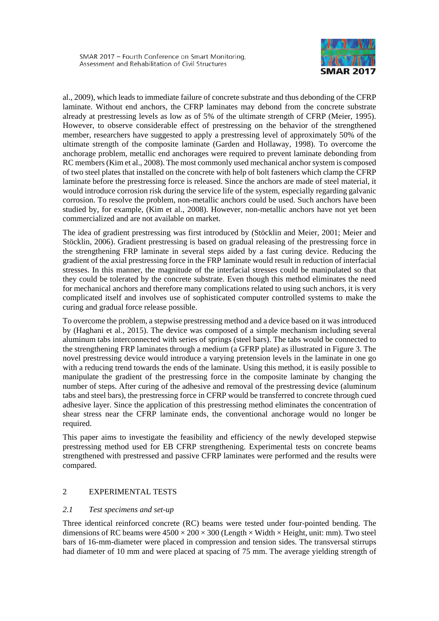

al., 2009), which leads to immediate failure of concrete substrate and thus debonding of the CFRP laminate. Without end anchors, the CFRP laminates may debond from the concrete substrate already at prestressing levels as low as of 5% of the ultimate strength of CFRP (Meier, 1995). However, to observe considerable effect of prestressing on the behavior of the strengthened member, researchers have suggested to apply a prestressing level of approximately 50% of the ultimate strength of the composite laminate (Garden and Hollaway, 1998). To overcome the anchorage problem, metallic end anchorages were required to prevent laminate debonding from RC members (Kim et al., 2008). The most commonly used mechanical anchor system is composed of two steel plates that installed on the concrete with help of bolt fasteners which clamp the CFRP laminate before the prestressing force is released. Since the anchors are made of steel material, it would introduce corrosion risk during the service life of the system, especially regarding galvanic corrosion. To resolve the problem, non-metallic anchors could be used. Such anchors have been studied by, for example, (Kim et al., 2008). However, non-metallic anchors have not yet been commercialized and are not available on market.

The idea of gradient prestressing was first introduced by (Stöcklin and Meier, 2001; Meier and Stöcklin, 2006). Gradient prestressing is based on gradual releasing of the prestressing force in the strengthening FRP laminate in several steps aided by a fast curing device. Reducing the gradient of the axial prestressing force in the FRP laminate would result in reduction of interfacial stresses. In this manner, the magnitude of the interfacial stresses could be manipulated so that they could be tolerated by the concrete substrate. Even though this method eliminates the need for mechanical anchors and therefore many complications related to using such anchors, it is very complicated itself and involves use of sophisticated computer controlled systems to make the curing and gradual force release possible.

To overcome the problem, a stepwise prestressing method and a device based on it was introduced by (Haghani et al., 2015). The device was composed of a simple mechanism including several aluminum tabs interconnected with series of springs (steel bars). The tabs would be connected to the strengthening FRP laminates through a medium (a GFRP plate) as illustrated in [Figure 3.](#page-3-0) The novel prestressing device would introduce a varying pretension levels in the laminate in one go with a reducing trend towards the ends of the laminate. Using this method, it is easily possible to manipulate the gradient of the prestressing force in the composite laminate by changing the number of steps. After curing of the adhesive and removal of the prestressing device (aluminum tabs and steel bars), the prestressing force in CFRP would be transferred to concrete through cued adhesive layer. Since the application of this prestressing method eliminates the concentration of shear stress near the CFRP laminate ends, the conventional anchorage would no longer be required.

This paper aims to investigate the feasibility and efficiency of the newly developed stepwise prestressing method used for EB CFRP strengthening. Experimental tests on concrete beams strengthened with prestressed and passive CFRP laminates were performed and the results were compared.

# 2 EXPERIMENTAL TESTS

## *2.1 Test specimens and set-up*

Three identical reinforced concrete (RC) beams were tested under four-pointed bending. The dimensions of RC beams were  $4500 \times 200 \times 300$  (Length  $\times$  Width  $\times$  Height, unit: mm). Two steel bars of 16-mm-diameter were placed in compression and tension sides. The transversal stirrups had diameter of 10 mm and were placed at spacing of 75 mm. The average yielding strength of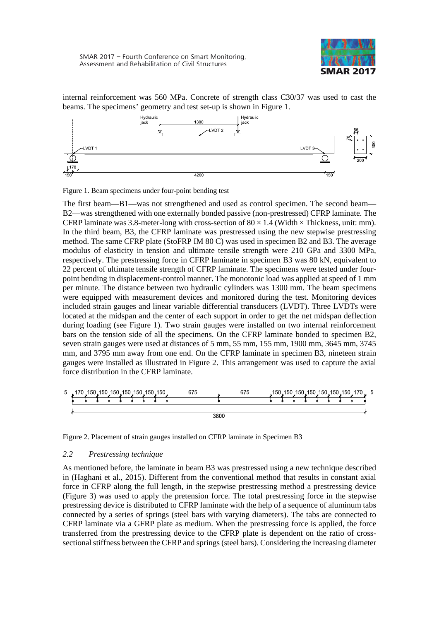

internal reinforcement was 560 MPa. Concrete of strength class C30/37 was used to cast the beams. The specimens' geometry and test set-up is shown in [Figure 1.](#page-2-0)



<span id="page-2-0"></span>Figure 1. Beam specimens under four-point bending test

The first beam—B1—was not strengthened and used as control specimen. The second beam— B2—was strengthened with one externally bonded passive (non-prestressed) CFRP laminate. The CFRP laminate was 3.8-meter-long with cross-section of  $80 \times 1.4$  (Width  $\times$  Thickness, unit: mm). In the third beam, B3, the CFRP laminate was prestressed using the new stepwise prestressing method. The same CFRP plate (StoFRP IM 80 C) was used in specimen B2 and B3. The average modulus of elasticity in tension and ultimate tensile strength were 210 GPa and 3300 MPa, respectively. The prestressing force in CFRP laminate in specimen B3 was 80 kN, equivalent to 22 percent of ultimate tensile strength of CFRP laminate. The specimens were tested under fourpoint bending in displacement-control manner. The monotonic load was applied at speed of 1 mm per minute. The distance between two hydraulic cylinders was 1300 mm. The beam specimens were equipped with measurement devices and monitored during the test. Monitoring devices included strain gauges and linear variable differential transducers (LVDT). Three LVDTs were located at the midspan and the center of each support in order to get the net midspan deflection during loading (see [Figure 1\)](#page-2-0). Two strain gauges were installed on two internal reinforcement bars on the tension side of all the specimens. On the CFRP laminate bonded to specimen B2, seven strain gauges were used at distances of 5 mm, 55 mm, 155 mm, 1900 mm, 3645 mm, 3745 mm, and 3795 mm away from one end. On the CFRP laminate in specimen B3, nineteen strain gauges were installed as illustrated in [Figure 2.](#page-2-1) This arrangement was used to capture the axial force distribution in the CFRP laminate.



<span id="page-2-1"></span>Figure 2. Placement of strain gauges installed on CFRP laminate in Specimen B3

## *2.2 Prestressing technique*

As mentioned before, the laminate in beam B3 was prestressed using a new technique described in (Haghani et al., 2015). Different from the conventional method that results in constant axial force in CFRP along the full length, in the stepwise prestressing method a prestressing device [\(Figure 3\)](#page-3-0) was used to apply the pretension force. The total prestressing force in the stepwise prestressing device is distributed to CFRP laminate with the help of a sequence of aluminum tabs connected by a series of springs (steel bars with varying diameters). The tabs are connected to CFRP laminate via a GFRP plate as medium. When the prestressing force is applied, the force transferred from the prestressing device to the CFRP plate is dependent on the ratio of crosssectional stiffness between the CFRP and springs (steel bars). Considering the increasing diameter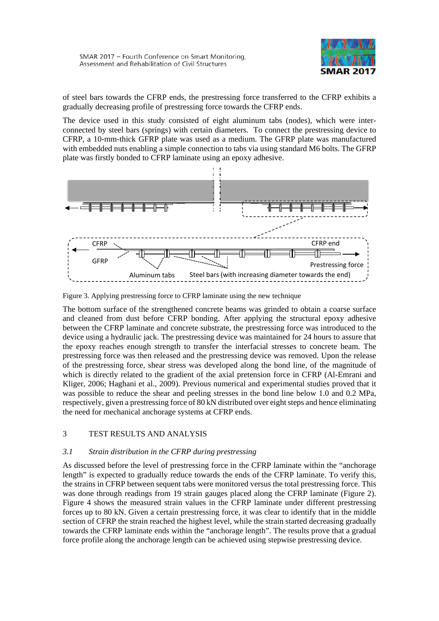

of steel bars towards the CFRP ends, the prestressing force transferred to the CFRP exhibits a gradually decreasing profile of prestressing force towards the CFRP ends.

The device used in this study consisted of eight aluminum tabs (nodes), which were interconnected by steel bars (springs) with certain diameters. To connect the prestressing device to CFRP, a 10-mm-thick GFRP plate was used as a medium. The GFRP plate was manufactured with embedded nuts enabling a simple connection to tabs via using standard M6 bolts. The GFRP plate was firstly bonded to CFRP laminate using an epoxy adhesive.



<span id="page-3-0"></span>Figure 3. Applying prestressing force to CFRP laminate using the new technique

The bottom surface of the strengthened concrete beams was grinded to obtain a coarse surface and cleaned from dust before CFRP bonding. After applying the structural epoxy adhesive between the CFRP laminate and concrete substrate, the prestressing force was introduced to the device using a hydraulic jack. The prestressing device was maintained for 24 hours to assure that the epoxy reaches enough strength to transfer the interfacial stresses to concrete beam. The prestressing force was then released and the prestressing device was removed. Upon the release of the prestressing force, shear stress was developed along the bond line, of the magnitude of which is directly related to the gradient of the axial pretension force in CFRP (Al-Emrani and Kliger, 2006; Haghani et al., 2009). Previous numerical and experimental studies proved that it was possible to reduce the shear and peeling stresses in the bond line below 1.0 and 0.2 MPa, respectively, given a prestressing force of 80 kN distributed over eight steps and hence eliminating the need for mechanical anchorage systems at CFRP ends.

# 3 TEST RESULTS AND ANALYSIS

## *3.1 Strain distribution in the CFRP during prestressing*

As discussed before the level of prestressing force in the CFRP laminate within the "anchorage length" is expected to gradually reduce towards the ends of the CFRP laminate. To verify this, the strains in CFRP between sequent tabs were monitored versus the total prestressing force. This was done through readings from 19 strain gauges placed along the CFRP laminate [\(Figure 2\)](#page-2-1). [Figure 4](#page-4-0) shows the measured strain values in the CFRP laminate under different prestressing forces up to 80 kN. Given a certain prestressing force, it was clear to identify that in the middle section of CFRP the strain reached the highest level, while the strain started decreasing gradually towards the CFRP laminate ends within the "anchorage length". The results prove that a gradual force profile along the anchorage length can be achieved using stepwise prestressing device.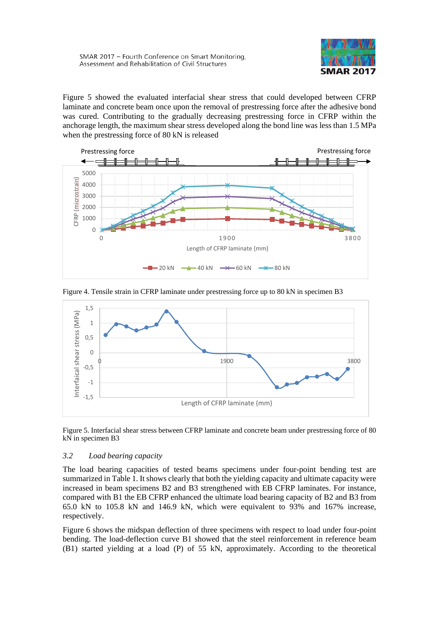

[Figure 5](#page-4-1) showed the evaluated interfacial shear stress that could developed between CFRP laminate and concrete beam once upon the removal of prestressing force after the adhesive bond was cured. Contributing to the gradually decreasing prestressing force in CFRP within the anchorage length, the maximum shear stress developed along the bond line was less than 1.5 MPa when the prestressing force of 80 kN is released



<span id="page-4-0"></span>



<span id="page-4-1"></span>Figure 5. Interfacial shear stress between CFRP laminate and concrete beam under prestressing force of 80 kN in specimen B3

# *3.2 Load bearing capacity*

The load bearing capacities of tested beams specimens under four-point bending test are summarized in [Table 1.](#page-5-0) It shows clearly that both the yielding capacity and ultimate capacity were increased in beam specimens B2 and B3 strengthened with EB CFRP laminates. For instance, compared with B1 the EB CFRP enhanced the ultimate load bearing capacity of B2 and B3 from 65.0 kN to 105.8 kN and 146.9 kN, which were equivalent to 93% and 167% increase, respectively.

[Figure 6](#page-5-1) shows the midspan deflection of three specimens with respect to load under four-point bending. The load-deflection curve B1 showed that the steel reinforcement in reference beam (B1) started yielding at a load (P) of 55 kN, approximately. According to the theoretical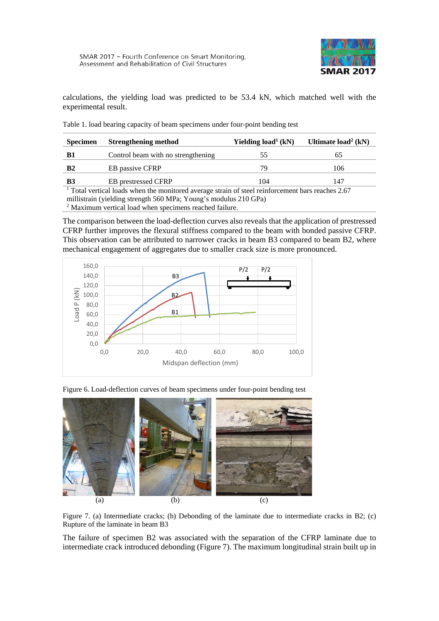

calculations, the yielding load was predicted to be 53.4 kN, which matched well with the experimental result.

| <b>Specimen</b>                                                                                              | <b>Strengthening method</b>        | Yielding $load1 (kN)$ | Ultimate $load2 (kN)$ |
|--------------------------------------------------------------------------------------------------------------|------------------------------------|-----------------------|-----------------------|
| B1                                                                                                           | Control beam with no strengthening | 55                    | 65                    |
| <b>B2</b>                                                                                                    | <b>EB</b> passive CFRP             | 79                    | 106                   |
| B3                                                                                                           | <b>EB</b> prestressed CFRP         | 104                   | 147                   |
| <sup>1</sup> Total vertical loads when the monitored average strain of steel reinforcement bars reaches 2.67 |                                    |                       |                       |
| millistrain (yielding strength 560 MPa; Young's modulus 210 GPa)                                             |                                    |                       |                       |
| 2 Movimum vertical load when specimens reached failure                                                       |                                    |                       |                       |

<span id="page-5-0"></span>Table 1. load bearing capacity of beam specimens under four-point bending test

Maximum vertical load when specimens reached failure.

The comparison between the load-deflection curves also reveals that the application of prestressed CFRP further improves the flexural stiffness compared to the beam with bonded passive CFRP. This observation can be attributed to narrower cracks in beam B3 compared to beam B2, where mechanical engagement of aggregates due to smaller crack size is more pronounced.



<span id="page-5-1"></span>



Figure 7. (a) Intermediate cracks; (b) Debonding of the laminate due to intermediate cracks in B2; (c) Rupture of the laminate in beam B3

The failure of specimen B2 was associated with the separation of the CFRP laminate due to intermediate crack introduced debonding (Figure 7). The maximum longitudinal strain built up in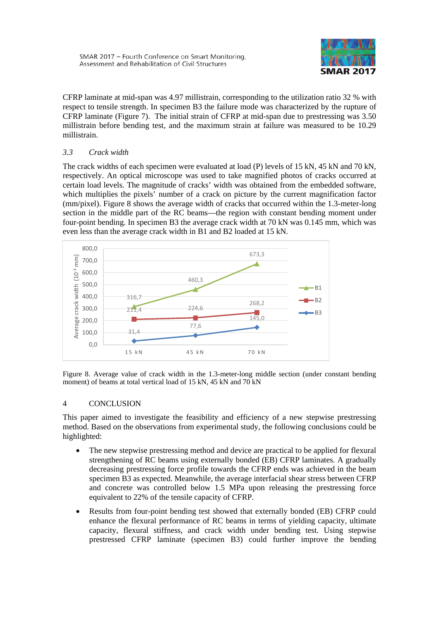

CFRP laminate at mid-span was 4.97 millistrain, corresponding to the utilization ratio 32 % with respect to tensile strength. In specimen B3 the failure mode was characterized by the rupture of CFRP laminate (Figure 7). The initial strain of CFRP at mid-span due to prestressing was 3.50 millistrain before bending test, and the maximum strain at failure was measured to be 10.29 millistrain.

# *3.3 Crack width*

The crack widths of each specimen were evaluated at load (P) levels of 15 kN, 45 kN and 70 kN, respectively. An optical microscope was used to take magnified photos of cracks occurred at certain load levels. The magnitude of cracks' width was obtained from the embedded software, which multiplies the pixels' number of a crack on picture by the current magnification factor (mm/pixel). [Figure 8](#page-6-0) shows the average width of cracks that occurred within the 1.3-meter-long section in the middle part of the RC beams—the region with constant bending moment under four-point bending. In specimen B3 the average crack width at 70 kN was 0.145 mm, which was even less than the average crack width in B1 and B2 loaded at 15 kN.



<span id="page-6-0"></span>Figure 8. Average value of crack width in the 1.3-meter-long middle section (under constant bending moment) of beams at total vertical load of 15 kN, 45 kN and 70 kN

# 4 CONCLUSION

This paper aimed to investigate the feasibility and efficiency of a new stepwise prestressing method. Based on the observations from experimental study, the following conclusions could be highlighted:

- The new stepwise prestressing method and device are practical to be applied for flexural strengthening of RC beams using externally bonded (EB) CFRP laminates. A gradually decreasing prestressing force profile towards the CFRP ends was achieved in the beam specimen B3 as expected. Meanwhile, the average interfacial shear stress between CFRP and concrete was controlled below 1.5 MPa upon releasing the prestressing force equivalent to 22% of the tensile capacity of CFRP.
- Results from four-point bending test showed that externally bonded (EB) CFRP could enhance the flexural performance of RC beams in terms of yielding capacity, ultimate capacity, flexural stiffness, and crack width under bending test. Using stepwise prestressed CFRP laminate (specimen B3) could further improve the bending